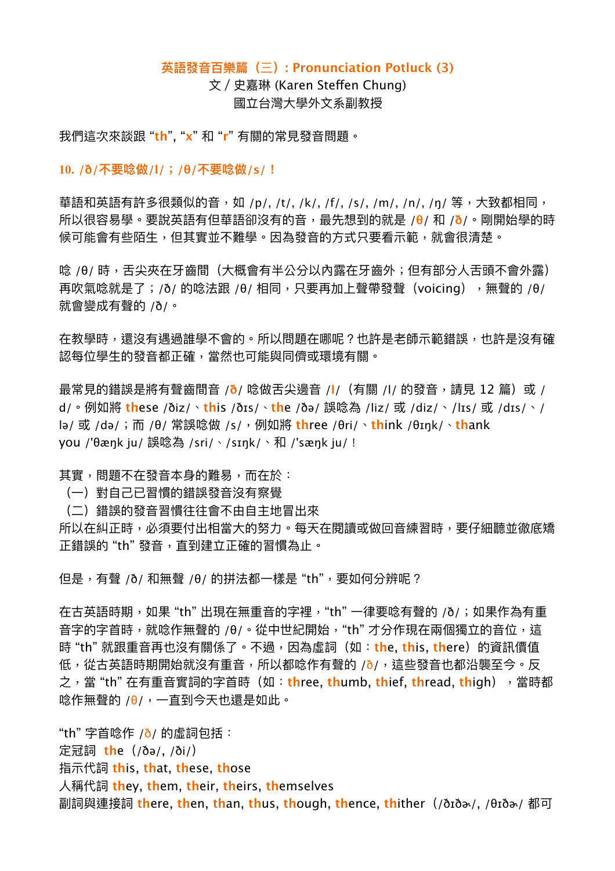## **英語發⾳百樂篇(**三**): Pronunciation Potluck (3)**

文 / 史嘉琳 (Karen Steffen Chung) 國立台灣⼤學外⽂系副教授

我們這次來談跟 "**th**", "**x**" 和 "**r**" 有關的常⾒發⾳問題。

**10. /ð/不要唸做/l/;/θ/不要唸做/s/!**

華語和英語有許多很類似的音,如 /p/, /t/, /k/, /f/, /s/, /m/, /n/, /ŋ/ 等,大致都相同, 所以很容易學。要說英語有但華語卻沒有的⾳,最先想到的就是 /**θ**/ 和 /**ð**/。剛開始學的時 候可能會有些陌生,但其實並不難學。因為發音的方式只要看示範,就會很清楚。

唸 /θ/ 時,舌尖夾在牙齒間(大概會有半公分以內露在牙齒外;但有部分人舌頭不會外露) 再吹氣唸就是了;/ð/ 的唸法跟 /θ/ 相同,只要再加上聲帶發聲(voicing),無聲的 /θ/ 就會變成有聲的 /ð/。

在教學時,還沒有遇過誰學不會的。所以問題在哪呢?也許是老師示範錯誤,也許是沒有確 認每位學生的發音都正確,當然也可能與同儕或環境有關。

最常見的錯誤是將有聲齒間音 /ð/ 唸做舌尖邊音 /l/ (有關 /l/ 的發音,請見 12 篇)或 / d/。例如將 **th**ese /ðiz/、**th**is /ðɪs/、**th**e /ðə/ 誤唸為 /liz/ 或 /diz/、/lɪs/ 或 /dɪs/、/ lə/ 或 /də/;⽽ /θ/ 常誤唸做 /s/,例如將 **th**ree /θri/、**th**ink /θɪŋk/、**th**ank you /'θæŋk ju/ 誤唸為 /sri/、/sɪŋk/、和 /'sæŋk ju/!

其實,問題不在發音本身的難易,而在於:

- (⼀)對⾃⼰已習慣的錯誤發⾳沒有察覺
- (⼆)錯誤的發⾳習慣往往會不由⾃主地冒出來

所以在糾正時,必須要付出相當大的努力。每天在閱讀或做回音練習時,要仔細聽並徹底矯 正錯誤的 "th"發音,直到建立正確的習慣為止。

但是,有聲 /ð/ 和無聲 /θ/ 的拼法都一樣是 "th",要如何分辨呢?

在古英語時期,如果 "th" 出現在無重音的字裡,"th" 一律要唸有聲的 /ð/;如果作為有重 音字的字首時,就唸作無聲的 /θ/。從中世紀開始,"th" 才分作現在兩個獨立的音位,這 時"th"就跟重音再也沒有關係了。不過,因為虛詞(如:the,this,there)的資訊價值 低,從古英語時期開始就沒有重音,所以都唸作有聲的 /ð/,這些發音也都沿襲至今。反 之,當 "th" 在有重⾳實詞的字⾸時(如:**th**ree, **th**umb, **th**ief, **th**read, **th**igh),當時都 唸作無聲的 /θ/,一直到今天也還是如此。

"th" 字首唸作 /ð/ 的虛詞包括: 定冠詞 **th**e(/ðə/, /ði/) 指⽰代詞 **th**is, **th**at, **th**ese, **th**ose ⼈稱代詞 **th**ey, **th**em, **th**eir, **th**eirs, **th**emselves 副詞與連接詞 **th**ere, **th**en, **th**an, **th**us, **th**ough, **th**ence, **th**ither(/ðɪðɚ/, /θɪðɚ/ 都可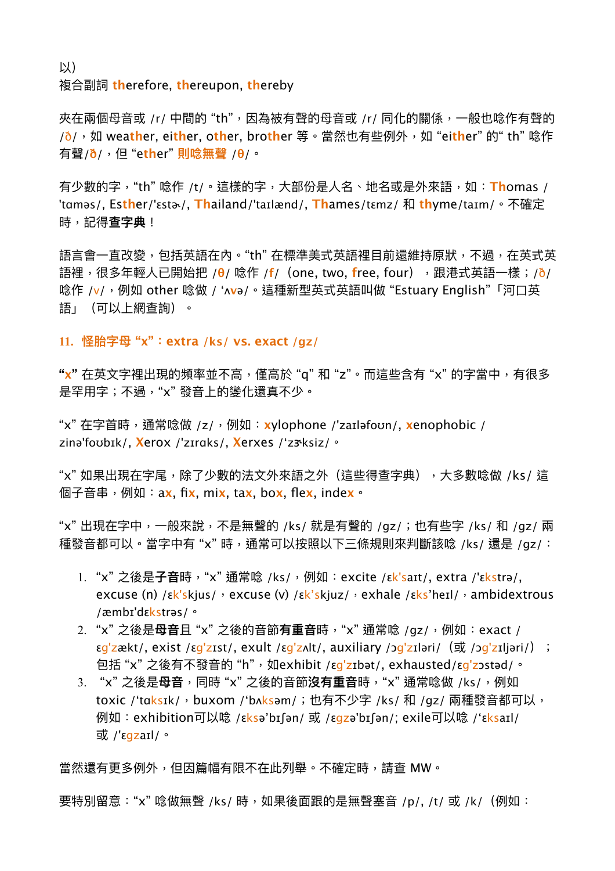以) 複合副詞 **th**erefore, **th**ereupon, **th**ereby

夾在兩個母音或 /r/ 中間的 "th",因為被有聲的母音或 /r/ 同化的關係,一般也唸作有聲的 /ð/,如 wea**th**er, ei**th**er, o**th**er, bro**th**er 等。當然也有些例外,如 "ei**th**er" 的" th" 唸作 有聲/**ð**/,但 "e**th**er" **則唸無聲** /**θ**/。

有少數的字,"th" 唸作 /t/。這樣的字,大部份是人名、地名或是外來語,如: Thomas / 'tɑməs/, Es**th**er/'ɛstɚ/, **Th**ailand/'taɪlænd/, **Th**ames/tɛmz/ 和 **th**yme/taɪm/。不確定 時,記得**查字典**!

語言會一直改變,包括英語在內。"th" 在標準美式英語裡目前還維持原狀,不過,在英式英 語裡,很多年輕人已開始把 /θ/ 唸作 /f/(one, two, free, four),跟港式英語一樣;/ð/ 唸作 /v/, 例如 other 唸做 / 'ʌvə/。這種新型英式英語叫做 "Estuary English"「河口英 語」(可以上網查詢)。

**11. 怪胎字⺟ "x":extra /ks/ vs. exact /gz/**

**"x"** 在英文字裡出現的頻率並不高,僅高於 "q" 和 "z"。而這些含有 "x" 的字當中,有很多 是罕用字;不過,"x"發音上的變化還真不少。

"x" 在字⾸時,通常唸做 /z/,例如:**x**ylophone /'zaɪləfoʊn/, **x**enophobic / zinə'foʊbɪk/, **X**erox /'zɪrɑks/, **X**erxes /'zɝksiz/。

"x" 如果出現在字尾,除了少數的法文外來語之外(這些得查字典),大多數唸做 /ks/ 這 個⼦⾳串,例如:a**x**, fi**x**, mi**x**, ta**x**, bo**x**, fle**x**, inde**x**。

"x" 出現在字中,一般來說,不是無聲的 /ks/ 就是有聲的 /gz/;也有些字 /ks/ 和 /gz/ 兩 種發音都可以。當字中有 "x" 時,通常可以按照以下三條規則來判斷該唸 /ks/ 還是 /gz/:

- 1. "x" 之後是**⼦⾳**時,"x" 通常唸 /ks/,例如:excite /ɛk'saɪt/, extra /'ɛkstrə/, excuse (n)  $\sqrt{\varepsilon}$ k'skjus/, excuse (v)  $\sqrt{\varepsilon}$ k'skjuz/, exhale  $\sqrt{\varepsilon}$ ks'heɪl/, ambidextrous /æmbɪ'dɛkstrəs/。
- 2. "x" 之後是**⺟⾳**且 "x" 之後的⾳節**有重⾳**時,"x" 通常唸 /gz/,例如:exact /  $\epsilon$ g'zækt/, exist /εg'zɪst/, exult /εg'zʌlt/, auxiliary /ɔg'zɪləri/ (或 /ɔg'zɪljəri/) ; 包括"x"之後有不發音的"h",如exhibit /εg'zɪbət/, exhausted/εg'zɔstəd/。
- 3. "x"之後是**母音**,同時"x"之後的音節**沒有重音**時,"x"通常唸做 /ks/,例如 toxic /'taksɪk/, buxom /'bʌksəm/;也有不少字 /ks/ 和 /gz/ 兩種發音都可以, 例如:exhibition可以唸 /εksə'bɪʃən/ 或 /εgzə'bɪʃən/; exile可以唸 /'εksaɪl/ 或 /'ɛgzaɪl/。

當然還有更多例外,但因篇幅有限不在此列舉。不確定時,請查 MW。

要特別留意:"x" 唸做無聲 /ks/ 時,如果後面跟的是無聲塞音 /p/, /t/ 或 /k/(例如: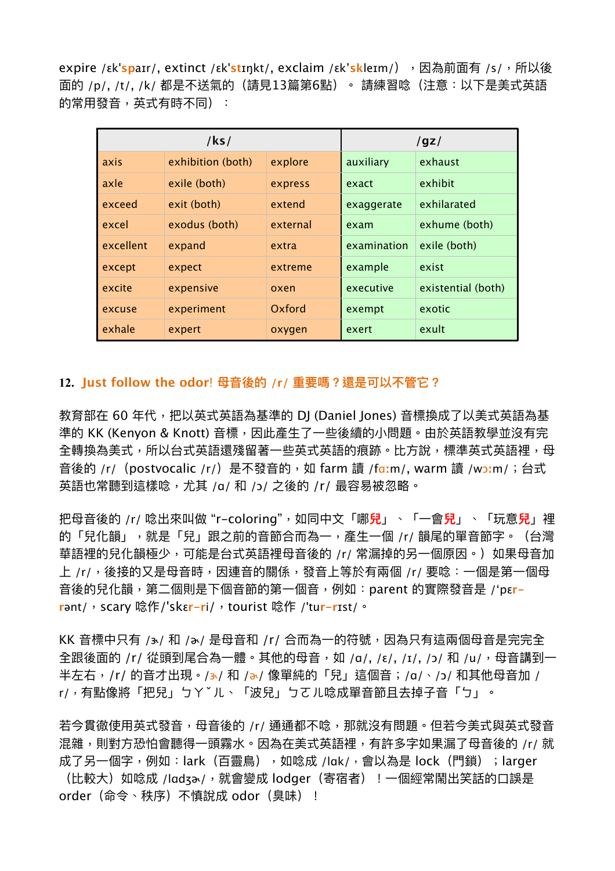expire /εk'spaɪr/, extinct /εk'stɪŋkt/, exclaim /εk'skleɪm/),因為前面有 /s/,所以後 面的 /p/, /t/, /k/ 都是不送氣的 (請見13篇第6點) 。 請練習唸 (注意:以下是美式英語 的常用發音,英式有時不同):

| $ $ ks/   |                   |          | /gz/        |                    |
|-----------|-------------------|----------|-------------|--------------------|
| axis      | exhibition (both) | explore  | auxiliary   | exhaust            |
| axle      | exile (both)      | express  | exact       | exhibit            |
| exceed    | exit (both)       | extend   | exaggerate  | exhilarated        |
| excel     | exodus (both)     | external | exam        | exhume (both)      |
| excellent | expand            | extra    | examination | exile (both)       |
| except    | expect            | extreme  | example     | exist              |
| excite    | expensive         | oxen     | executive   | existential (both) |
| excuse    | experiment        | Oxford   | exempt      | exotic             |
| exhale    | expert            | oxygen   | exert       | exult              |

## **12. Just follow the odor**! **⺟⾳後的 /r/ 重要嗎?還是可以不管它?**

教育部在 60 年代,把以英式英語為基準的 DI (Daniel Iones) 音標換成了以美式英語為基 準的 KK (Kenyon & Knott) 音標,因此產生了一些後續的小問題。由於英語教學並沒有完 全轉換為美式,所以台式英語還殘留著一些英式英語的痕跡。比方說,標準英式英語裡,母 音後的 /r/ (postvocalic /r/) 是不發音的, 如 farm 讀 /fɑːm/, warm 讀 /wɔːm/; 台式 英語也常聽到這樣唸,尤其 /ɑ/ 和 /ɔ/ 之後的 /r/ 最容易被忽略。

把⺟⾳後的 /r/ 唸出來叫做 "r-coloring",如同中⽂「哪**兒**」、「⼀會**兒**」、「玩意**兒**」裡 的「兒化韻」,就是「兒」跟之前的音節合而為一,產生一個 /r/ 韻尾的單音節字。(台灣 華語裡的兒化韻極少,可能是台式英語裡母音後的 /r/ 常漏掉的另一個原因。)如果母音加 上 /r/,後接的又是母音時,因連音的關係,發音上等於有兩個 /r/ 要唸:一個是第一個母 音後的兒化韻,第二個則是下個音節的第一個音,例如:parent 的實際發音是 /'pɛ<mark>r-</mark> **r**ənt/,scary 唸作/'skɛ**r-r**i/,tourist 唸作 /'tu**r-r**ɪst/。

KK 音標中只有 /3-/ 和 /a-/ 是母音和 /r/ 合而為一的符號,因為只有這兩個母音是完完全 全跟後面的 /r/ 從頭到尾合為一體。其他的母音,如 /a/, /ε/, /ɪ/, /ɔ/ 和 /u/,母音講到一 半左右,/r/ 的音才出現。/3/ 和 /a/ 像單純的「兒」這個音;/a/、/ɔ/ 和其他母音加 / r/,有點像將「把兒」ㄅㄚˇㄦ、「波兒」ㄅㄛㄦ唸成單⾳節且去掉⼦⾳「ㄅ」。

若今貫徹使用英式發音,母音後的 /r/ 通通都不唸,那就沒有問題。但若今美式與英式發音 混雜,則對方恐怕會聽得一頭霧水。因為在美式英語裡,有許多字如果漏了母音後的 /r/ 就 成了另一個字,例如:lark(百靈鳥),如唸成 /lɑk/,會以為是 lock(門鎖);larger (比較大)如唸成 /lɑdʒծ/,就會變成 lodger(寄宿者)!一個經常鬧出笑話的口誤是 order(命令、秩序)不慎說成 odor(臭味)!